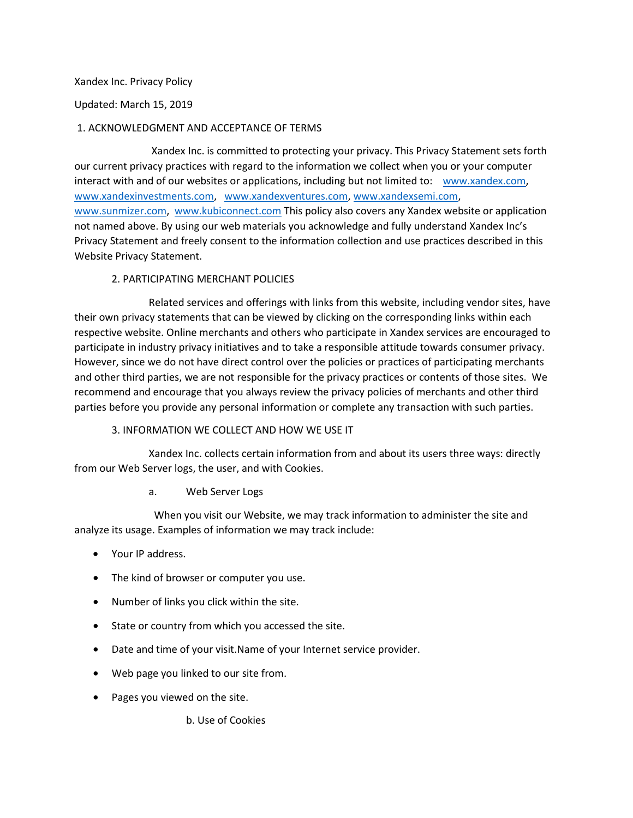### Xandex Inc. Privacy Policy

Updated: March 15, 2019

## 1. ACKNOWLEDGMENT AND ACCEPTANCE OF TERMS

Xandex Inc. is committed to protecting your privacy. This Privacy Statement sets forth our current privacy practices with regard to the information we collect when you or your computer interact with and of our websites or applications, including but not limited to: [www.xandex.com,](http://www.xandex.com/) [www.xandexinvestments.com,](http://www.xandexinvestments.com/) [www.xandexventures.com,](http://www.xandexventures.com/) [www.xandexsemi.com,](http://www.xandexsemi.com/) [www.sunmizer.com,](http://www.sunmizer.com/) [www.kubiconnect.com](http://www.kubiconnect.com/) This policy also covers any Xandex website or application not named above. By using our web materials you acknowledge and fully understand Xandex Inc's Privacy Statement and freely consent to the information collection and use practices described in this Website Privacy Statement.

## 2. PARTICIPATING MERCHANT POLICIES

Related services and offerings with links from this website, including vendor sites, have their own privacy statements that can be viewed by clicking on the corresponding links within each respective website. Online merchants and others who participate in Xandex services are encouraged to participate in industry privacy initiatives and to take a responsible attitude towards consumer privacy. However, since we do not have direct control over the policies or practices of participating merchants and other third parties, we are not responsible for the privacy practices or contents of those sites. We recommend and encourage that you always review the privacy policies of merchants and other third parties before you provide any personal information or complete any transaction with such parties.

#### 3. INFORMATION WE COLLECT AND HOW WE USE IT

Xandex Inc. collects certain information from and about its users three ways: directly from our Web Server logs, the user, and with Cookies.

## a. Web Server Logs

 When you visit our Website, we may track information to administer the site and analyze its usage. Examples of information we may track include:

- Your IP address.
- The kind of browser or computer you use.
- Number of links you click within the site.
- State or country from which you accessed the site.
- Date and time of your visit.Name of your Internet service provider.
- Web page you linked to our site from.
- Pages you viewed on the site.

b. Use of Cookies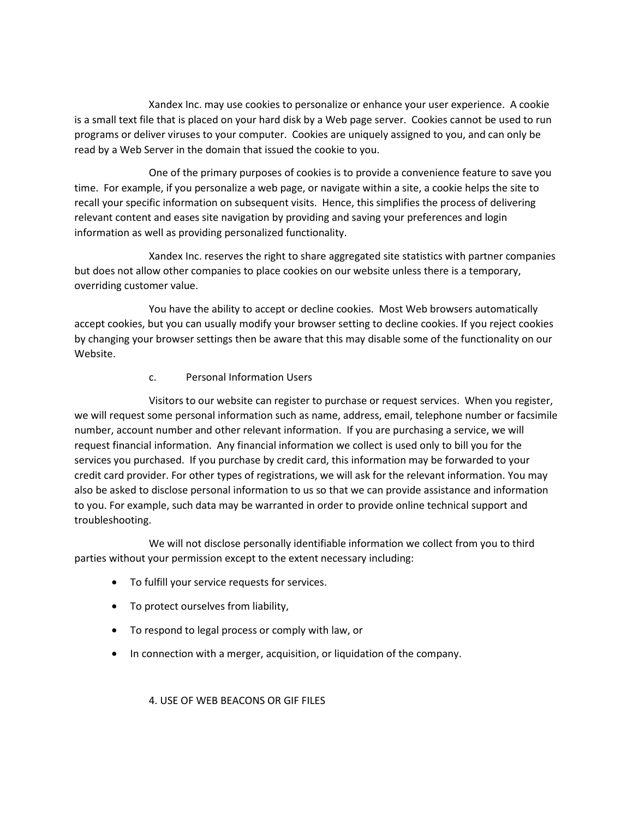Xandex Inc. may use cookies to personalize or enhance your user experience. A cookie is a small text file that is placed on your hard disk by a Web page server. Cookies cannot be used to run programs or deliver viruses to your computer. Cookies are uniquely assigned to you, and can only be read by a Web Server in the domain that issued the cookie to you.

One of the primary purposes of cookies is to provide a convenience feature to save you time. For example, if you personalize a web page, or navigate within a site, a cookie helps the site to recall your specific information on subsequent visits. Hence, this simplifies the process of delivering relevant content and eases site navigation by providing and saving your preferences and login information as well as providing personalized functionality.

Xandex Inc. reserves the right to share aggregated site statistics with partner companies but does not allow other companies to place cookies on our website unless there is a temporary, overriding customer value.

You have the ability to accept or decline cookies. Most Web browsers automatically accept cookies, but you can usually modify your browser setting to decline cookies. If you reject cookies by changing your browser settings then be aware that this may disable some of the functionality on our Website.

# c. Personal Information Users

Visitors to our website can register to purchase or request services. When you register, we will request some personal information such as name, address, email, telephone number or facsimile number, account number and other relevant information. If you are purchasing a service, we will request financial information. Any financial information we collect is used only to bill you for the services you purchased. If you purchase by credit card, this information may be forwarded to your credit card provider. For other types of registrations, we will ask for the relevant information. You may also be asked to disclose personal information to us so that we can provide assistance and information to you. For example, such data may be warranted in order to provide online technical support and troubleshooting.

We will not disclose personally identifiable information we collect from you to third parties without your permission except to the extent necessary including:

- To fulfill your service requests for services.
- To protect ourselves from liability,
- To respond to legal process or comply with law, or
- In connection with a merger, acquisition, or liquidation of the company.

4. USE OF WEB BEACONS OR GIF FILES